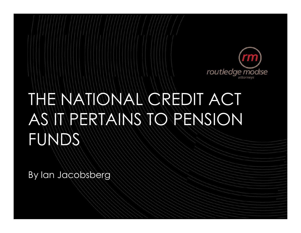

# THE NATIONAL CREDIT ACT AS IT PERTAINS TO PENSION FUNDS

By Ian Jacobsberg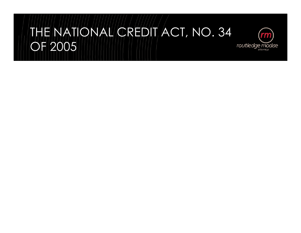#### THE NATIONAL CREDIT ACT, NO. 34 OF 2005routledge modise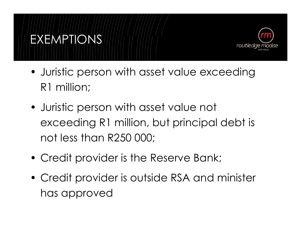

- Juristic person with asset value exceeding R1 million;
- Juristic person with asset value not exceeding R1 million, but principal debt is not less than R250 000;
- Credit provider is the Reserve Bank;

EXEMPTIONS

• Credit provider is outside RSA and minister has approved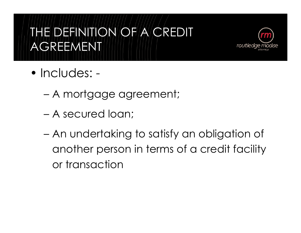### THE DEFINITION OF A CREDIT AGREEMENT



- Includes:
	- A mortgage agreement;
	- A secured loan;
	- An undertaking to satisfy an obligation of another person in terms of a credit facility or transaction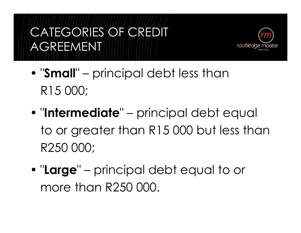# CATEGORIES OF CREDIT AGREEMENT



- "Small" principal debt less than<br>---------R15 000;
- "Intermediate" principal debt equal to or greater than R15 000 but less than R250 000;
- "Large" principal debt equal to or more than R250 000.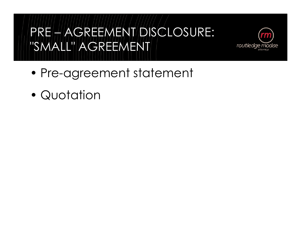### PRE – AGREEMENT DISCLOSURE: "SMALL" AGREEMENT



- Pre-agreement statement
- Quotation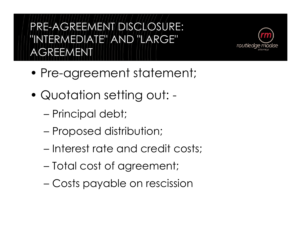PRE-AGREEMENT DISCLOSURE: "INTERMEDIATE" AND "LARGE" AGREEMENT



- Pre-agreement statement;
- Quotation setting out:
	- Principal debt;
	- Proposed distribution;
	- Interest rate and credit costs;
	- Total cost of agreement;
	- Costs payable on rescission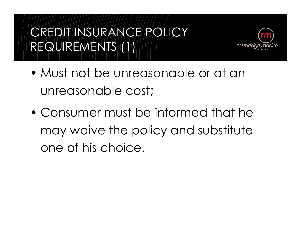# CREDIT INSURANCE POLICY REQUIREMENTS (1)



- Must not be unreasonable or at an unreasonable cost;
- Consumer must be informed that he may waive the policy and substitute one of his choice.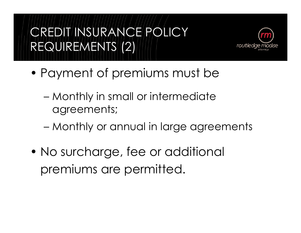## CREDIT INSURANCE POLICY REQUIREMENTS (2)



- Payment of premiums must be
	- Monthly in small or intermediate agreements;
	- Monthly or annual in large agreements
- No surcharge, fee or additional premiums are permitted.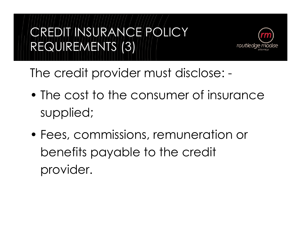# CREDIT INSURANCE POLICY REQUIREMENTS (3)



The credit provider must disclose: -

- The cost to the consumer of insurance supplied;
- Fees, commissions, remuneration or benefits payable to the credit provider.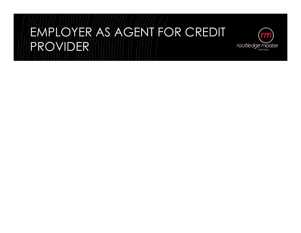### EMPLOYER AS AGENT FOR CREDIT PROVIDER